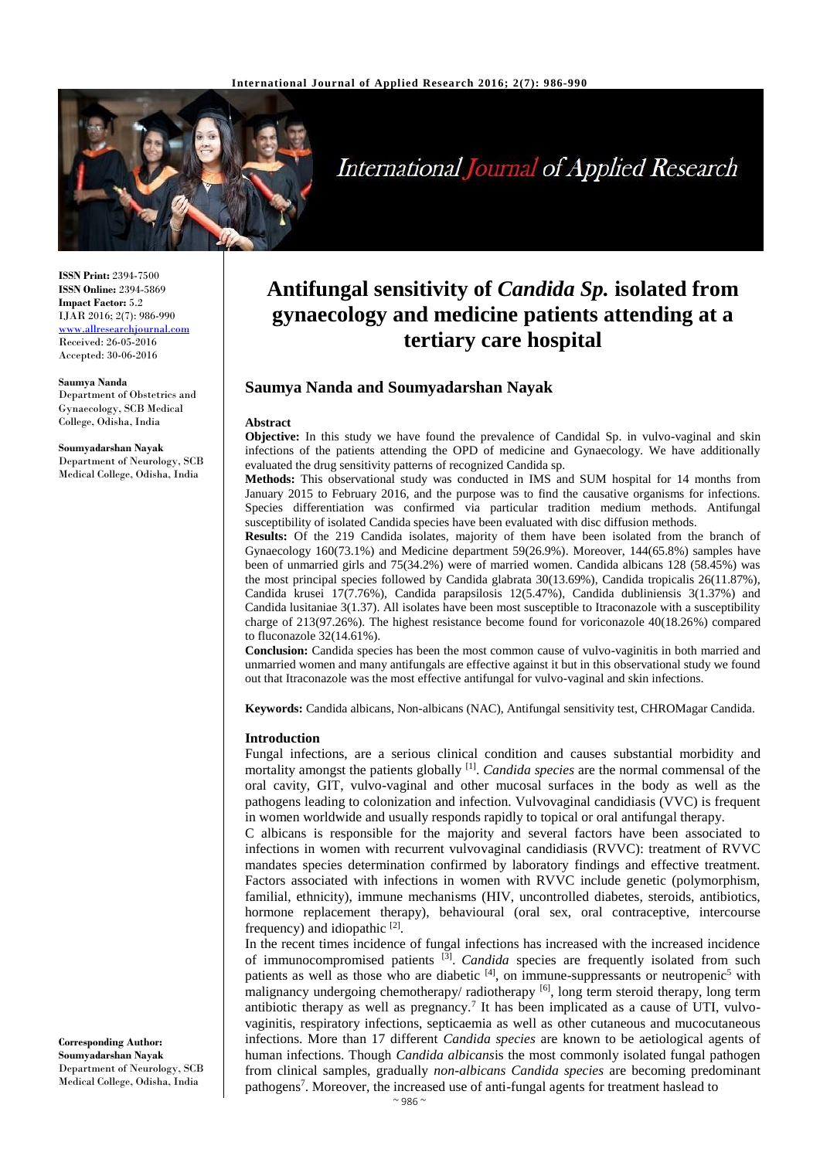

# **International Journal of Applied Research**

**ISSN Print:** 2394-7500 **ISSN Online:** 2394-5869 **Impact Factor:** 5.2 IJAR 2016; 2(7): 986-990 <www.allresearchjournal.com> Received: 26-05-2016 Accepted: 30-06-2016

#### **Saumya Nanda**

Department of Obstetrics and Gynaecology, SCB Medical College, Odisha, India

### **Soumyadarshan Nayak**

Department of Neurology, SCB Medical College, Odisha, India

# **Antifungal sensitivity of** *Candida Sp.* **isolated from gynaecology and medicine patients attending at a tertiary care hospital**

# **Saumya Nanda and Soumyadarshan Nayak**

#### **Abstract**

**Objective:** In this study we have found the prevalence of Candidal Sp. in vulvo-vaginal and skin infections of the patients attending the OPD of medicine and Gynaecology. We have additionally evaluated the drug sensitivity patterns of recognized Candida sp.

**Methods:** This observational study was conducted in IMS and SUM hospital for 14 months from January 2015 to February 2016, and the purpose was to find the causative organisms for infections. Species differentiation was confirmed via particular tradition medium methods. Antifungal susceptibility of isolated Candida species have been evaluated with disc diffusion methods.

**Results:** Of the 219 Candida isolates, majority of them have been isolated from the branch of Gynaecology 160(73.1%) and Medicine department 59(26.9%). Moreover, 144(65.8%) samples have been of unmarried girls and 75(34.2%) were of married women. Candida albicans 128 (58.45%) was the most principal species followed by Candida glabrata 30(13.69%), Candida tropicalis 26(11.87%), Candida krusei 17(7.76%), Candida parapsilosis 12(5.47%), Candida dubliniensis 3(1.37%) and Candida lusitaniae 3(1.37). All isolates have been most susceptible to Itraconazole with a susceptibility charge of 213(97.26%). The highest resistance become found for voriconazole 40(18.26%) compared to fluconazole 32(14.61%).

**Conclusion:** Candida species has been the most common cause of vulvo-vaginitis in both married and unmarried women and many antifungals are effective against it but in this observational study we found out that Itraconazole was the most effective antifungal for vulvo-vaginal and skin infections.

**Keywords:** Candida albicans, Non-albicans (NAC), Antifungal sensitivity test, CHROMagar Candida.

#### **Introduction**

Fungal infections, are a serious clinical condition and causes substantial morbidity and mortality amongst the patients globally [1] . *Candida species* are the normal commensal of the oral cavity, GIT, vulvo-vaginal and other mucosal surfaces in the body as well as the pathogens leading to colonization and infection. Vulvovaginal candidiasis (VVC) is frequent in women worldwide and usually responds rapidly to topical or oral antifungal therapy.

C albicans is responsible for the majority and several factors have been associated to infections in women with recurrent vulvovaginal candidiasis (RVVC): treatment of RVVC mandates species determination confirmed by laboratory findings and effective treatment. Factors associated with infections in women with RVVC include genetic (polymorphism, familial, ethnicity), immune mechanisms (HIV, uncontrolled diabetes, steroids, antibiotics, hormone replacement therapy), behavioural (oral sex, oral contraceptive, intercourse frequency) and idiopathic  $[2]$ .

In the recent times incidence of fungal infections has increased with the increased incidence of immunocompromised patients <sup>[3]</sup>. *Candida* species are frequently isolated from such patients as well as those who are diabetic  $[4]$ , on immune-suppressants or neutropenic<sup>5</sup> with malignancy undergoing chemotherapy/ radiotherapy [6], long term steroid therapy, long term antibiotic therapy as well as pregnancy.<sup>7</sup> It has been implicated as a cause of UTI, vulvovaginitis, respiratory infections, septicaemia as well as other cutaneous and mucocutaneous infections. More than 17 different *Candida species* are known to be aetiological agents of human infections. Though *Candida albicans*is the most commonly isolated fungal pathogen from clinical samples, gradually *non-albicans Candida species* are becoming predominant pathogens<sup>7</sup>. Moreover, the increased use of anti-fungal agents for treatment haslead to

**Corresponding Author: Soumyadarshan Nayak** Department of Neurology, SCB Medical College, Odisha, India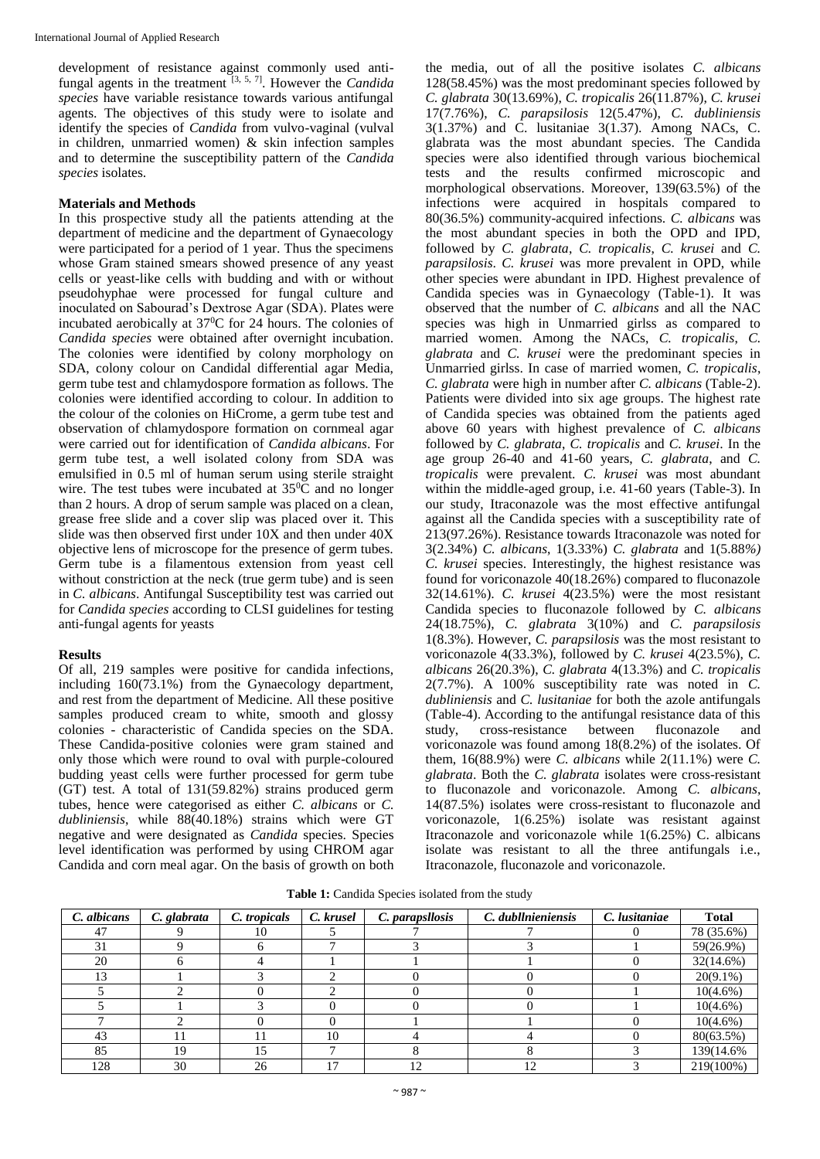development of resistance against commonly used antifungal agents in the treatment [3, 5, 7] . However the *Candida species* have variable resistance towards various antifungal agents. The objectives of this study were to isolate and identify the species of *Candida* from vulvo-vaginal (vulval in children, unmarried women) & skin infection samples and to determine the susceptibility pattern of the *Candida species* isolates.

#### **Materials and Methods**

In this prospective study all the patients attending at the department of medicine and the department of Gynaecology were participated for a period of 1 year. Thus the specimens whose Gram stained smears showed presence of any yeast cells or yeast-like cells with budding and with or without pseudohyphae were processed for fungal culture and inoculated on Sabourad's Dextrose Agar (SDA). Plates were incubated aerobically at  $37^{\circ}$ C for 24 hours. The colonies of *Candida species* were obtained after overnight incubation. The colonies were identified by colony morphology on SDA, colony colour on Candidal differential agar Media, germ tube test and chlamydospore formation as follows. The colonies were identified according to colour. In addition to the colour of the colonies on HiCrome, a germ tube test and observation of chlamydospore formation on cornmeal agar were carried out for identification of *Candida albicans*. For germ tube test, a well isolated colony from SDA was emulsified in 0.5 ml of human serum using sterile straight wire. The test tubes were incubated at  $35\degree\text{C}$  and no longer than 2 hours. A drop of serum sample was placed on a clean, grease free slide and a cover slip was placed over it. This slide was then observed first under 10X and then under 40X objective lens of microscope for the presence of germ tubes. Germ tube is a filamentous extension from yeast cell without constriction at the neck (true germ tube) and is seen in *C. albicans*. Antifungal Susceptibility test was carried out for *Candida species* according to CLSI guidelines for testing anti-fungal agents for yeasts

#### **Results**

Of all, 219 samples were positive for candida infections, including 160(73.1%) from the Gynaecology department, and rest from the department of Medicine. All these positive samples produced cream to white, smooth and glossy colonies - characteristic of Candida species on the SDA. These Candida-positive colonies were gram stained and only those which were round to oval with purple-coloured budding yeast cells were further processed for germ tube (GT) test. A total of 131(59.82%) strains produced germ tubes, hence were categorised as either *C. albicans* or *C. dubliniensis*, while 88(40.18%) strains which were GT negative and were designated as *Candida* species. Species level identification was performed by using CHROM agar Candida and corn meal agar. On the basis of growth on both

the media, out of all the positive isolates *C. albicans* 128(58.45%) was the most predominant species followed by *C. glabrata* 30(13.69%), *C. tropicalis* 26(11.87%), *C. krusei* 17(7.76%), *C. parapsilosis* 12(5.47%), *C. dubliniensis*  $3(1.37%)$  and C. lusitaniae  $3(1.37)$ . Among NACs, C. glabrata was the most abundant species. The Candida species were also identified through various biochemical tests and the results confirmed microscopic and morphological observations. Moreover, 139(63.5%) of the infections were acquired in hospitals compared to 80(36.5%) community-acquired infections. *C. albicans* was the most abundant species in both the OPD and IPD, followed by *C. glabrata*, *C. tropicalis*, *C. krusei* and *C. parapsilosis*. *C. krusei* was more prevalent in OPD, while other species were abundant in IPD. Highest prevalence of Candida species was in Gynaecology (Table-1). It was observed that the number of *C. albicans* and all the NAC species was high in Unmarried girlss as compared to married women. Among the NACs, *C. tropicalis*, *C. glabrata* and *C. krusei* were the predominant species in Unmarried girlss. In case of married women, *C. tropicalis*, *C. glabrata* were high in number after *C. albicans* (Table-2). Patients were divided into six age groups. The highest rate of Candida species was obtained from the patients aged above 60 years with highest prevalence of *C. albicans* followed by *C. glabrata*, *C. tropicalis* and *C. krusei*. In the age group 26-40 and 41-60 years, *C. glabrata*, and *C. tropicalis* were prevalent. *C. krusei* was most abundant within the middle-aged group, i.e. 41-60 years (Table-3). In our study, Itraconazole was the most effective antifungal against all the Candida species with a susceptibility rate of 213(97.26%). Resistance towards Itraconazole was noted for 3(2.34%) *C. albicans*, 1(3.33%) *C. glabrata* and 1(5.88*%) C. krusei* species. Interestingly, the highest resistance was found for voriconazole 40(18.26%) compared to fluconazole 32(14.61%). *C. krusei* 4(23.5%) were the most resistant Candida species to fluconazole followed by *C. albicans* 24(18.75%), *C. glabrata* 3(10%) and *C. parapsilosis* 1(8.3%). However, *C. parapsilosis* was the most resistant to voriconazole 4(33.3%), followed by *C. krusei* 4(23.5%), *C. albicans* 26(20.3%), *C. glabrata* 4(13.3%) and *C. tropicalis* 2(7.7%). A 100% susceptibility rate was noted in *C. dubliniensis* and *C. lusitaniae* for both the azole antifungals (Table-4). According to the antifungal resistance data of this study, cross-resistance between fluconazole and voriconazole was found among 18(8.2%) of the isolates. Of them, 16(88.9%) were *C. albicans* while 2(11.1%) were *C. glabrata*. Both the *C. glabrata* isolates were cross-resistant to fluconazole and voriconazole. Among *C. albicans*, 14(87.5%) isolates were cross-resistant to fluconazole and voriconazole, 1(6.25%) isolate was resistant against Itraconazole and voriconazole while 1(6.25%) C. albicans isolate was resistant to all the three antifungals i.e., Itraconazole, fluconazole and voriconazole.

| C. albicans | C. glabrata | C. tropicals | C. krusel                | C. parapsllosis | C. dubllnieniensis | C. lusitaniae | <b>Total</b>            |
|-------------|-------------|--------------|--------------------------|-----------------|--------------------|---------------|-------------------------|
| 47          |             | 10           |                          |                 |                    |               | 78 (35.6%)              |
| 31          |             |              |                          |                 |                    |               | 59(26.9%)               |
| 20          |             |              |                          |                 |                    |               | $\overline{32}(14.6\%)$ |
| 13          |             |              |                          |                 |                    |               | $20(9.1\%)$             |
|             |             |              |                          |                 |                    |               | $10(4.6\%)$             |
|             |             |              |                          |                 |                    |               | $10(4.6\%)$             |
|             |             |              |                          |                 |                    |               | $10(4.6\%)$             |
| 43          |             |              | 10                       |                 |                    |               | 80(63.5%)               |
| 85          | 19          | 15           |                          |                 |                    |               | 139(14.6%)              |
| 128         | 30          | 26           | $\overline{\phantom{a}}$ |                 | ר ו                |               | 219(100%)               |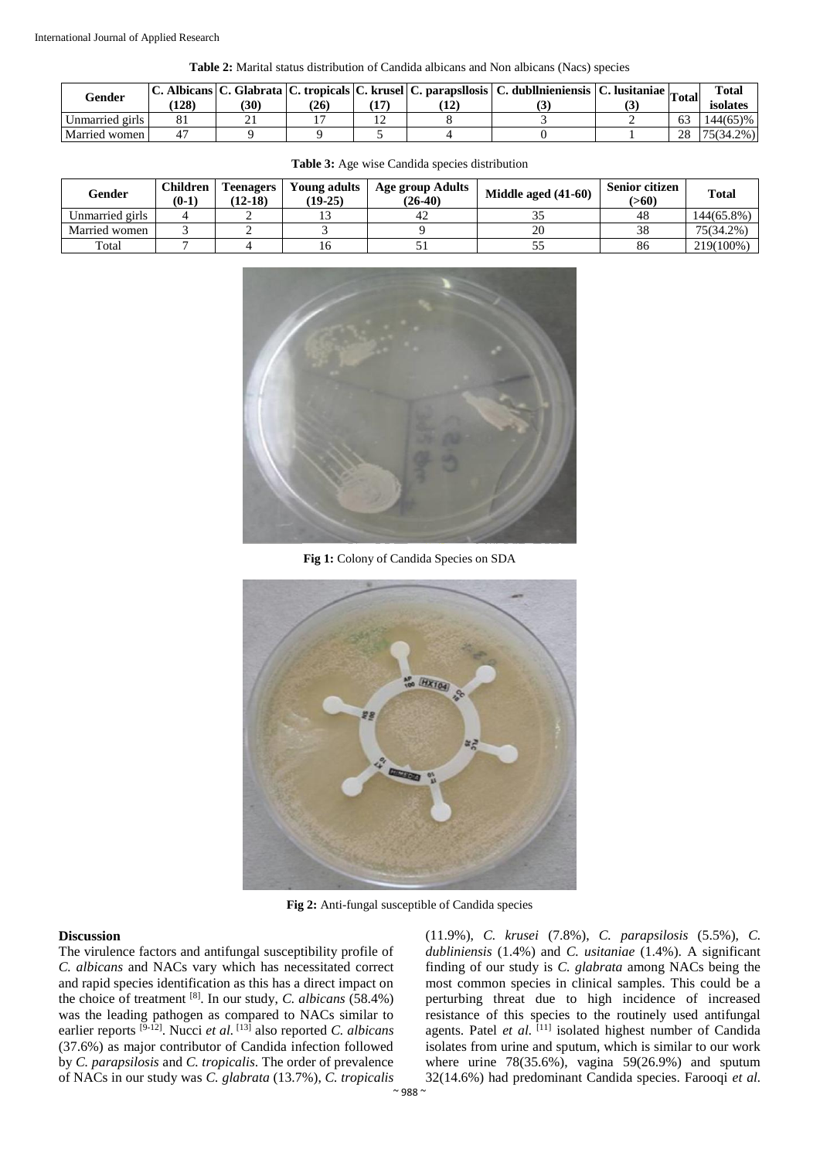**Table 2:** Marital status distribution of Candida albicans and Non albicans (Nacs) species

| Gender          | Albicans C.<br>128) | 30 | 26 |        | $12^{\circ}$ | c. Glabrata   C. tropicals   C. krusel   C. parapsllosis   C. dubllnieniensis   C. lusitaniae   Total   Tr |          | <b>Total</b><br>isolates |
|-----------------|---------------------|----|----|--------|--------------|------------------------------------------------------------------------------------------------------------|----------|--------------------------|
| Unmarried girls |                     |    |    | $\sim$ |              |                                                                                                            |          | 144(65)%                 |
| Married women   |                     |    |    |        |              |                                                                                                            | $\gamma$ | 75(34.2%)                |

| Gender          | Children<br>$(0-1)$ | <b>Teenagers</b><br>$(12-18)$ | Young adults<br>$(19-25)$ | Age group Adults<br>$(26-40)$ | Middle aged $(41-60)$ | <b>Senior citizen</b><br>(>60) | <b>Total</b> |
|-----------------|---------------------|-------------------------------|---------------------------|-------------------------------|-----------------------|--------------------------------|--------------|
| Unmarried girls |                     |                               |                           | 42                            |                       | 48                             | 144(65.8%)   |
| Married women   |                     |                               |                           |                               |                       | 38                             | 75(34.2%)    |
| Total           |                     |                               | 10                        | ◡                             |                       | 86                             | 219(100%)    |

**Table 3:** Age wise Candida species distribution



**Fig 1:** Colony of Candida Species on SDA



**Fig 2:** Anti-fungal susceptible of Candida species

#### **Discussion**

The virulence factors and antifungal susceptibility profile of *C. albicans* and NACs vary which has necessitated correct and rapid species identification as this has a direct impact on the choice of treatment [8]. In our study, *C. albicans* (58.4%) was the leading pathogen as compared to NACs similar to earlier reports <sup>[9-12]</sup>. Nucci *et al*. <sup>[13]</sup> also reported *C. albicans* (37.6%) as major contributor of Candida infection followed by *C. parapsilosis* and *C. tropicalis*. The order of prevalence of NACs in our study was *C. glabrata* (13.7%), *C. tropicalis*

(11.9%), *C. krusei* (7.8%), *C. parapsilosis* (5.5%), *C. dubliniensis* (1.4%) and *C. usitaniae* (1.4%). A significant finding of our study is *C. glabrata* among NACs being the most common species in clinical samples. This could be a perturbing threat due to high incidence of increased resistance of this species to the routinely used antifungal agents. Patel et al. [11] isolated highest number of Candida isolates from urine and sputum, which is similar to our work where urine  $78(35.6\%)$ , vagina  $59(26.9\%)$  and sputum 32(14.6%) had predominant Candida species. Farooqi *et al.*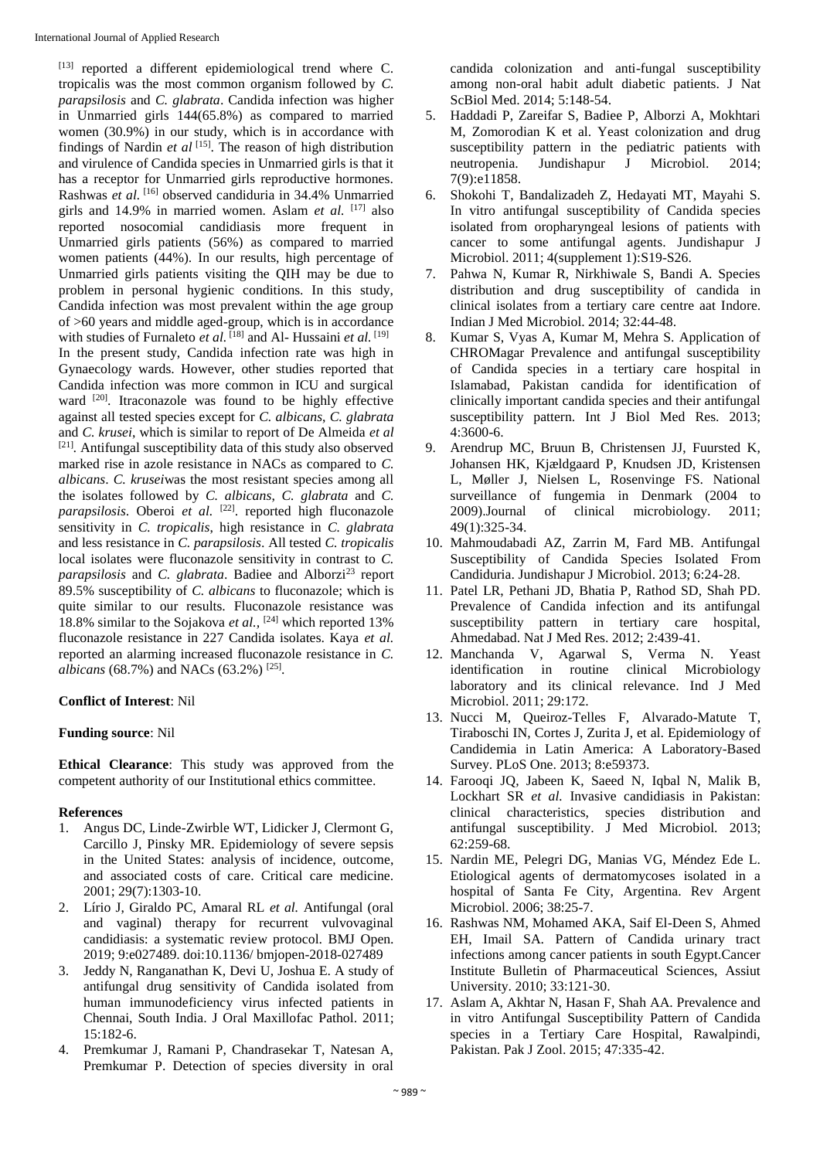[13] reported a different epidemiological trend where C. tropicalis was the most common organism followed by *C. parapsilosis* and *C. glabrata*. Candida infection was higher in Unmarried girls 144(65.8%) as compared to married women (30.9%) in our study, which is in accordance with findings of Nardin  $et$   $al$   $[15]$ . The reason of high distribution and virulence of Candida species in Unmarried girls is that it has a receptor for Unmarried girls reproductive hormones. Rashwas *et al.* [16] observed candiduria in 34.4% Unmarried girls and 14.9% in married women. Aslam *et al.* [17] also reported nosocomial candidiasis more frequent in Unmarried girls patients (56%) as compared to married women patients (44%). In our results, high percentage of Unmarried girls patients visiting the QIH may be due to problem in personal hygienic conditions. In this study, Candida infection was most prevalent within the age group of >60 years and middle aged-group, which is in accordance with studies of Furnaleto *et al.* [18] and Al- Hussaini *et al.* [19] In the present study, Candida infection rate was high in Gynaecology wards. However, other studies reported that Candida infection was more common in ICU and surgical ward <sup>[20]</sup>. Itraconazole was found to be highly effective against all tested species except for *C. albicans*, *C. glabrata* and *C. krusei*, which is similar to report of De Almeida *et al* [21] *.* Antifungal susceptibility data of this study also observed marked rise in azole resistance in NACs as compared to *C. albicans*. *C. krusei*was the most resistant species among all the isolates followed by *C. albicans*, *C. glabrata* and *C. parapsilosis*. Oberoi *et al.* [22]. reported high fluconazole sensitivity in *C. tropicalis*, high resistance in *C. glabrata* and less resistance in *C. parapsilosis*. All tested *C. tropicalis* local isolates were fluconazole sensitivity in contrast to *C. parapsilosis* and *C. glabrata*. Badiee and Alborzi<sup>23</sup> report 89.5% susceptibility of *C. albicans* to fluconazole; which is quite similar to our results. Fluconazole resistance was 18.8% similar to the Sojakova *et al.,* [24] which reported 13% fluconazole resistance in 227 Candida isolates. Kaya *et al.* reported an alarming increased fluconazole resistance in *C. albicans* (68.7%) and NACs (63.2%) <sup>[25]</sup>.

# **Conflict of Interest**: Nil

#### **Funding source**: Nil

**Ethical Clearance**: This study was approved from the competent authority of our Institutional ethics committee.

# **References**

- 1. Angus DC, Linde-Zwirble WT, Lidicker J, Clermont G, Carcillo J, Pinsky MR. Epidemiology of severe sepsis in the United States: analysis of incidence, outcome, and associated costs of care. Critical care medicine. 2001; 29(7):1303-10.
- 2. Lírio J, Giraldo PC, Amaral RL *et al.* Antifungal (oral and vaginal) therapy for recurrent vulvovaginal candidiasis: a systematic review protocol. BMJ Open. 2019; 9:e027489. doi:10.1136/ bmjopen-2018-027489
- 3. Jeddy N, Ranganathan K, Devi U, Joshua E. A study of antifungal drug sensitivity of Candida isolated from human immunodeficiency virus infected patients in Chennai, South India. J Oral Maxillofac Pathol. 2011; 15:182-6.
- 4. Premkumar J, Ramani P, Chandrasekar T, Natesan A, Premkumar P. Detection of species diversity in oral

candida colonization and anti-fungal susceptibility among non-oral habit adult diabetic patients. J Nat ScBiol Med. 2014; 5:148-54.

- 5. Haddadi P, Zareifar S, Badiee P, Alborzi A, Mokhtari M, Zomorodian K et al. Yeast colonization and drug susceptibility pattern in the pediatric patients with neutropenia. Jundishapur J Microbiol. 2014; 7(9):e11858.
- 6. Shokohi T, Bandalizadeh Z, Hedayati MT, Mayahi S. In vitro antifungal susceptibility of Candida species isolated from oropharyngeal lesions of patients with cancer to some antifungal agents. Jundishapur J Microbiol. 2011; 4(supplement 1):S19-S26.
- 7. Pahwa N, Kumar R, Nirkhiwale S, Bandi A. Species distribution and drug susceptibility of candida in clinical isolates from a tertiary care centre aat Indore. Indian J Med Microbiol. 2014; 32:44-48.
- 8. Kumar S, Vyas A, Kumar M, Mehra S. Application of CHROMagar Prevalence and antifungal susceptibility of Candida species in a tertiary care hospital in Islamabad, Pakistan candida for identification of clinically important candida species and their antifungal susceptibility pattern. Int J Biol Med Res. 2013; 4:3600-6.
- 9. Arendrup MC, Bruun B, Christensen JJ, Fuursted K, Johansen HK, Kjældgaard P, Knudsen JD, Kristensen L, Møller J, Nielsen L, Rosenvinge FS. National surveillance of fungemia in Denmark (2004 to 2009).Journal of clinical microbiology. 2011; 49(1):325-34.
- 10. Mahmoudabadi AZ, Zarrin M, Fard MB. Antifungal Susceptibility of Candida Species Isolated From Candiduria. Jundishapur J Microbiol. 2013; 6:24-28.
- 11. Patel LR, Pethani JD, Bhatia P, Rathod SD, Shah PD. Prevalence of Candida infection and its antifungal susceptibility pattern in tertiary care hospital, Ahmedabad. Nat J Med Res. 2012; 2:439-41.
- 12. Manchanda V, Agarwal S, Verma N. Yeast identification in routine clinical Microbiology laboratory and its clinical relevance. Ind J Med Microbiol. 2011; 29:172.
- 13. Nucci M, Queiroz-Telles F, Alvarado-Matute T, Tiraboschi IN, Cortes J, Zurita J, et al. Epidemiology of Candidemia in Latin America: A Laboratory-Based Survey. PLoS One. 2013; 8:e59373.
- 14. Farooqi JQ, Jabeen K, Saeed N, Iqbal N, Malik B, Lockhart SR *et al.* Invasive candidiasis in Pakistan: clinical characteristics, species distribution and antifungal susceptibility. J Med Microbiol. 2013; 62:259-68.
- 15. Nardin ME, Pelegri DG, Manias VG, Méndez Ede L. Etiological agents of dermatomycoses isolated in a hospital of Santa Fe City, Argentina. Rev Argent Microbiol. 2006; 38:25-7.
- 16. Rashwas NM, Mohamed AKA, Saif El-Deen S, Ahmed EH, Imail SA. Pattern of Candida urinary tract infections among cancer patients in south Egypt.Cancer Institute Bulletin of Pharmaceutical Sciences, Assiut University. 2010; 33:121-30.
- 17. Aslam A, Akhtar N, Hasan F, Shah AA. Prevalence and in vitro Antifungal Susceptibility Pattern of Candida species in a Tertiary Care Hospital, Rawalpindi, Pakistan. Pak J Zool. 2015; 47:335-42.